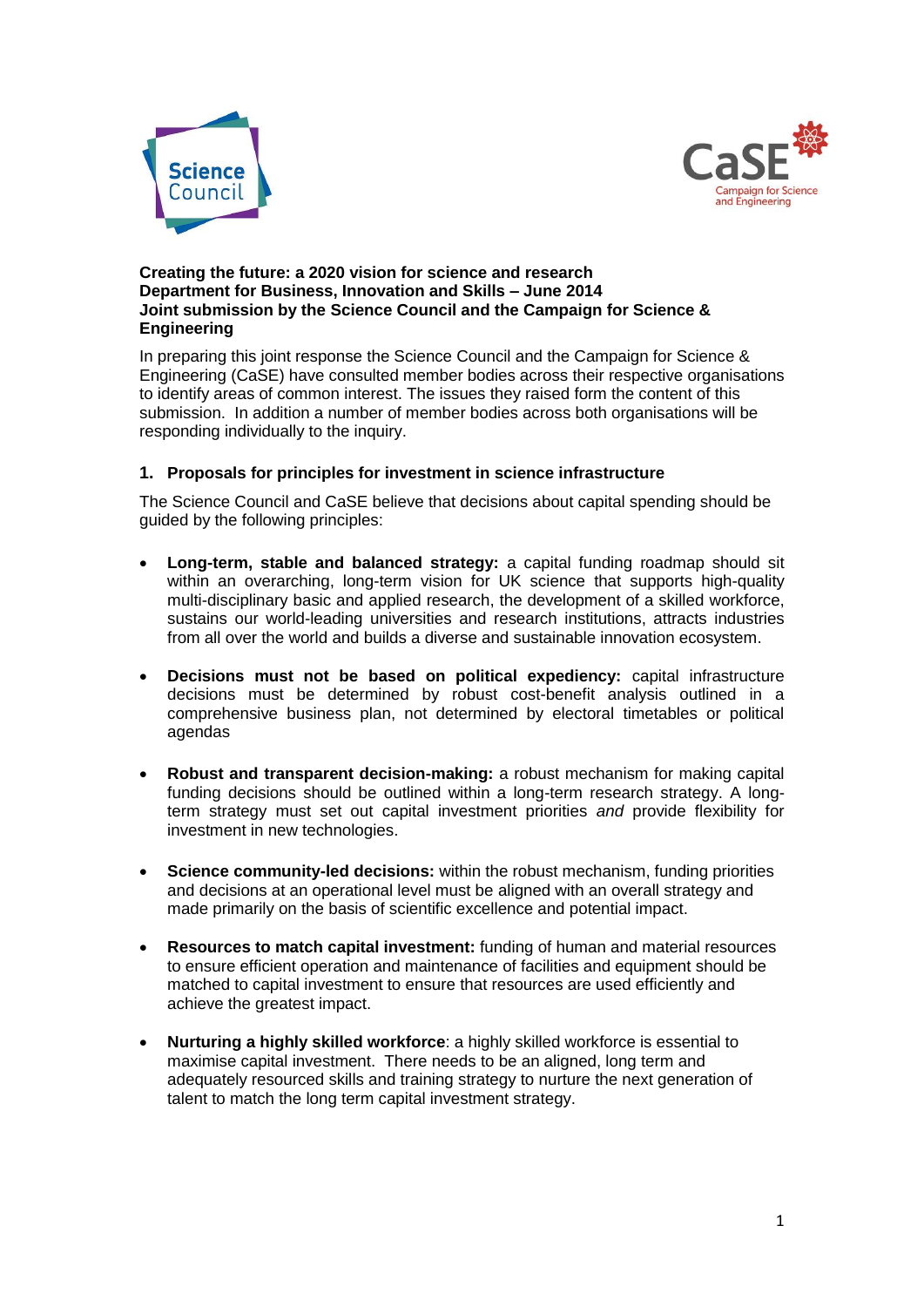



#### **Creating the future: a 2020 vision for science and research Department for Business, Innovation and Skills – June 2014 Joint submission by the Science Council and the Campaign for Science & Engineering**

In preparing this joint response the Science Council and the Campaign for Science & Engineering (CaSE) have consulted member bodies across their respective organisations to identify areas of common interest. The issues they raised form the content of this submission. In addition a number of member bodies across both organisations will be responding individually to the inquiry.

# **1. Proposals for principles for investment in science infrastructure**

The Science Council and CaSE believe that decisions about capital spending should be guided by the following principles:

- **Long-term, stable and balanced strategy:** a capital funding roadmap should sit within an overarching, long-term vision for UK science that supports high-quality multi-disciplinary basic and applied research, the development of a skilled workforce, sustains our world-leading universities and research institutions, attracts industries from all over the world and builds a diverse and sustainable innovation ecosystem.
- **Decisions must not be based on political expediency:** capital infrastructure decisions must be determined by robust cost-benefit analysis outlined in a comprehensive business plan, not determined by electoral timetables or political agendas
- **Robust and transparent decision-making:** a robust mechanism for making capital funding decisions should be outlined within a long-term research strategy. A longterm strategy must set out capital investment priorities *and* provide flexibility for investment in new technologies.
- **Science community-led decisions:** within the robust mechanism, funding priorities and decisions at an operational level must be aligned with an overall strategy and made primarily on the basis of scientific excellence and potential impact.
- **Resources to match capital investment:** funding of human and material resources to ensure efficient operation and maintenance of facilities and equipment should be matched to capital investment to ensure that resources are used efficiently and achieve the greatest impact.
- **Nurturing a highly skilled workforce**: a highly skilled workforce is essential to maximise capital investment. There needs to be an aligned, long term and adequately resourced skills and training strategy to nurture the next generation of talent to match the long term capital investment strategy.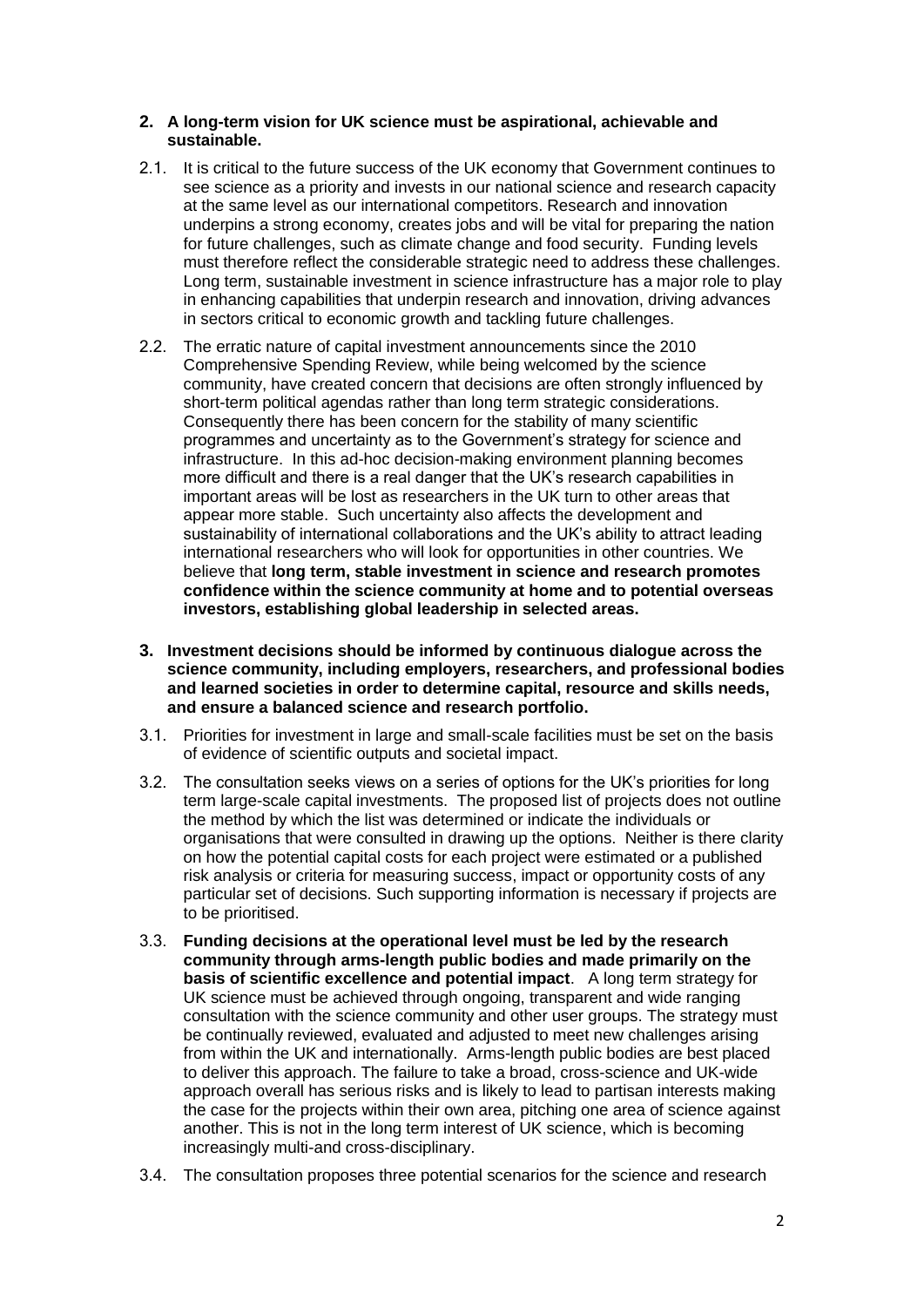# **2. A long-term vision for UK science must be aspirational, achievable and sustainable.**

- 2.1. It is critical to the future success of the UK economy that Government continues to see science as a priority and invests in our national science and research capacity at the same level as our international competitors. Research and innovation underpins a strong economy, creates jobs and will be vital for preparing the nation for future challenges, such as climate change and food security. Funding levels must therefore reflect the considerable strategic need to address these challenges. Long term, sustainable investment in science infrastructure has a major role to play in enhancing capabilities that underpin research and innovation, driving advances in sectors critical to economic growth and tackling future challenges.
- 2.2. The erratic nature of capital investment announcements since the 2010 Comprehensive Spending Review, while being welcomed by the science community, have created concern that decisions are often strongly influenced by short-term political agendas rather than long term strategic considerations. Consequently there has been concern for the stability of many scientific programmes and uncertainty as to the Government's strategy for science and infrastructure. In this ad-hoc decision-making environment planning becomes more difficult and there is a real danger that the UK's research capabilities in important areas will be lost as researchers in the UK turn to other areas that appear more stable. Such uncertainty also affects the development and sustainability of international collaborations and the UK's ability to attract leading international researchers who will look for opportunities in other countries. We believe that **long term, stable investment in science and research promotes confidence within the science community at home and to potential overseas investors, establishing global leadership in selected areas.**
- **3. Investment decisions should be informed by continuous dialogue across the science community, including employers, researchers, and professional bodies and learned societies in order to determine capital, resource and skills needs, and ensure a balanced science and research portfolio.**
- 3.1. Priorities for investment in large and small-scale facilities must be set on the basis of evidence of scientific outputs and societal impact.
- 3.2. The consultation seeks views on a series of options for the UK's priorities for long term large-scale capital investments. The proposed list of projects does not outline the method by which the list was determined or indicate the individuals or organisations that were consulted in drawing up the options. Neither is there clarity on how the potential capital costs for each project were estimated or a published risk analysis or criteria for measuring success, impact or opportunity costs of any particular set of decisions. Such supporting information is necessary if projects are to be prioritised.
- 3.3. **Funding decisions at the operational level must be led by the research community through arms-length public bodies and made primarily on the basis of scientific excellence and potential impact**. A long term strategy for UK science must be achieved through ongoing, transparent and wide ranging consultation with the science community and other user groups. The strategy must be continually reviewed, evaluated and adjusted to meet new challenges arising from within the UK and internationally. Arms-length public bodies are best placed to deliver this approach. The failure to take a broad, cross-science and UK-wide approach overall has serious risks and is likely to lead to partisan interests making the case for the projects within their own area, pitching one area of science against another. This is not in the long term interest of UK science, which is becoming increasingly multi-and cross-disciplinary.
- 3.4. The consultation proposes three potential scenarios for the science and research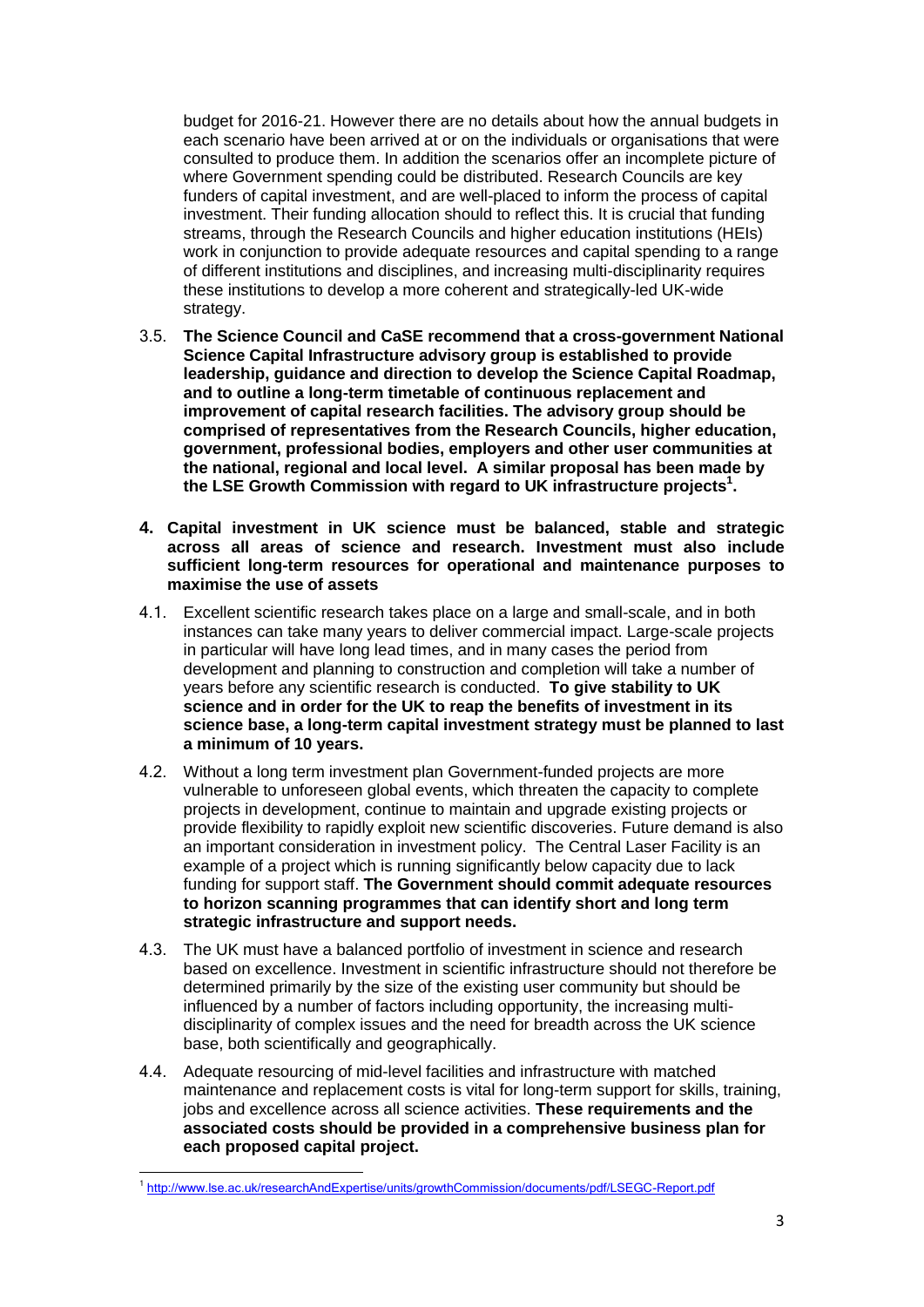budget for 2016-21. However there are no details about how the annual budgets in each scenario have been arrived at or on the individuals or organisations that were consulted to produce them. In addition the scenarios offer an incomplete picture of where Government spending could be distributed. Research Councils are key funders of capital investment, and are well-placed to inform the process of capital investment. Their funding allocation should to reflect this. It is crucial that funding streams, through the Research Councils and higher education institutions (HEIs) work in conjunction to provide adequate resources and capital spending to a range of different institutions and disciplines, and increasing multi-disciplinarity requires these institutions to develop a more coherent and strategically-led UK-wide strategy.

- 3.5. **The Science Council and CaSE recommend that a cross-government National Science Capital Infrastructure advisory group is established to provide leadership, guidance and direction to develop the Science Capital Roadmap, and to outline a long-term timetable of continuous replacement and improvement of capital research facilities. The advisory group should be comprised of representatives from the Research Councils, higher education, government, professional bodies, employers and other user communities at the national, regional and local level. A similar proposal has been made by the LSE Growth Commission with regard to UK infrastructure projects<sup>1</sup> .**
- **4. Capital investment in UK science must be balanced, stable and strategic across all areas of science and research. Investment must also include sufficient long-term resources for operational and maintenance purposes to maximise the use of assets**
- 4.1. Excellent scientific research takes place on a large and small-scale, and in both instances can take many years to deliver commercial impact. Large-scale projects in particular will have long lead times, and in many cases the period from development and planning to construction and completion will take a number of years before any scientific research is conducted. **To give stability to UK science and in order for the UK to reap the benefits of investment in its science base, a long-term capital investment strategy must be planned to last a minimum of 10 years.**
- 4.2. Without a long term investment plan Government-funded projects are more vulnerable to unforeseen global events, which threaten the capacity to complete projects in development, continue to maintain and upgrade existing projects or provide flexibility to rapidly exploit new scientific discoveries. Future demand is also an important consideration in investment policy. The Central Laser Facility is an example of a project which is running significantly below capacity due to lack funding for support staff. **The Government should commit adequate resources to horizon scanning programmes that can identify short and long term strategic infrastructure and support needs.**
- 4.3. The UK must have a balanced portfolio of investment in science and research based on excellence. Investment in scientific infrastructure should not therefore be determined primarily by the size of the existing user community but should be influenced by a number of factors including opportunity, the increasing multidisciplinarity of complex issues and the need for breadth across the UK science base, both scientifically and geographically.
- 4.4. Adequate resourcing of mid-level facilities and infrastructure with matched maintenance and replacement costs is vital for long-term support for skills, training, jobs and excellence across all science activities. **These requirements and the associated costs should be provided in a comprehensive business plan for each proposed capital project.**

 $\overline{a}$ 1 <http://www.lse.ac.uk/researchAndExpertise/units/growthCommission/documents/pdf/LSEGC-Report.pdf>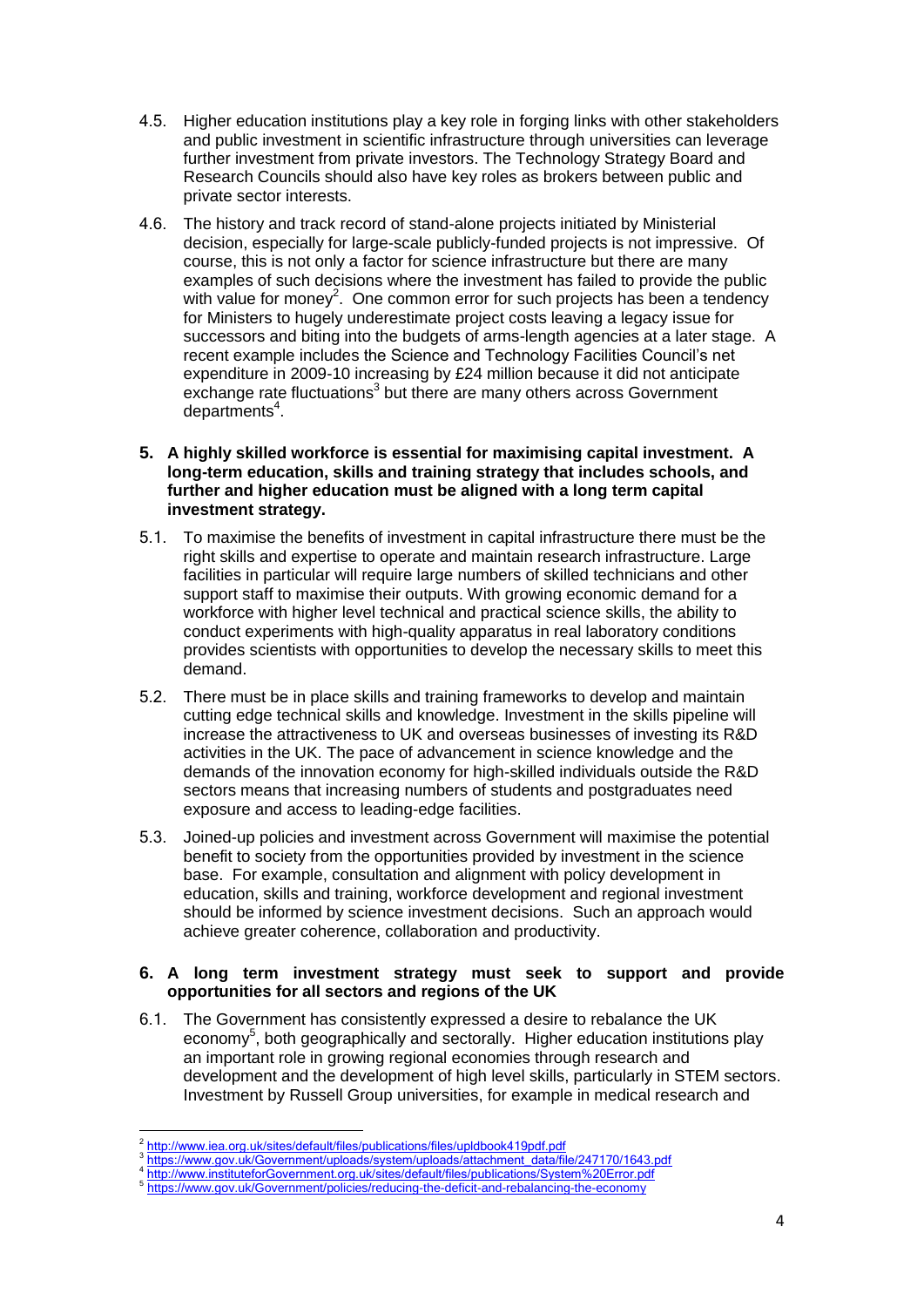- 4.5. Higher education institutions play a key role in forging links with other stakeholders and public investment in scientific infrastructure through universities can leverage further investment from private investors. The Technology Strategy Board and Research Councils should also have key roles as brokers between public and private sector interests.
- 4.6. The history and track record of stand-alone projects initiated by Ministerial decision, especially for large-scale publicly-funded projects is not impressive. Of course, this is not only a factor for science infrastructure but there are many examples of such decisions where the investment has failed to provide the public with value for money<sup>2</sup>. One common error for such projects has been a tendency for Ministers to hugely underestimate project costs leaving a legacy issue for successors and biting into the budgets of arms-length agencies at a later stage. A recent example includes the Science and Technology Facilities Council's net expenditure in 2009-10 increasing by £24 million because it did not anticipate exchange rate fluctuations<sup>3</sup> but there are many others across Government departments<sup>4</sup>.
- **5. A highly skilled workforce is essential for maximising capital investment. A long-term education, skills and training strategy that includes schools, and further and higher education must be aligned with a long term capital investment strategy.**
- 5.1. To maximise the benefits of investment in capital infrastructure there must be the right skills and expertise to operate and maintain research infrastructure. Large facilities in particular will require large numbers of skilled technicians and other support staff to maximise their outputs. With growing economic demand for a workforce with higher level technical and practical science skills, the ability to conduct experiments with high-quality apparatus in real laboratory conditions provides scientists with opportunities to develop the necessary skills to meet this demand.
- 5.2. There must be in place skills and training frameworks to develop and maintain cutting edge technical skills and knowledge. Investment in the skills pipeline will increase the attractiveness to UK and overseas businesses of investing its R&D activities in the UK. The pace of advancement in science knowledge and the demands of the innovation economy for high-skilled individuals outside the R&D sectors means that increasing numbers of students and postgraduates need exposure and access to leading-edge facilities.
- 5.3. Joined-up policies and investment across Government will maximise the potential benefit to society from the opportunities provided by investment in the science base. For example, consultation and alignment with policy development in education, skills and training, workforce development and regional investment should be informed by science investment decisions. Such an approach would achieve greater coherence, collaboration and productivity.

#### **6. A long term investment strategy must seek to support and provide opportunities for all sectors and regions of the UK**

6.1. The Government has consistently expressed a desire to rebalance the UK economy<sup>5</sup>, both geographically and sectorally. Higher education institutions play an important role in growing regional economies through research and development and the development of high level skills, particularly in STEM sectors. Investment by Russell Group universities, for example in medical research and

 2 <http://www.iea.org.uk/sites/default/files/publications/files/upldbook419pdf.pdf>

<sup>&</sup>lt;sup>3</sup>[https://www.gov.uk/Government/uploads/system/uploads/attachment\\_data/file/247170/1643.pdf](https://www.gov.uk/government/uploads/system/uploads/attachment_data/file/247170/1643.pdf)

<sup>4</sup> [http://www.instituteforGovernment.org.uk/sites/default/files/publications/System%20Error.pdf](http://www.instituteforgovernment.org.uk/sites/default/files/publications/System%20Error.pdf)

<sup>&</sup>lt;sup>5</sup> [https://www.gov.uk/Government/policies/reducing-the-deficit-and-rebalancing-the-economy](https://www.gov.uk/government/policies/reducing-the-deficit-and-rebalancing-the-economy)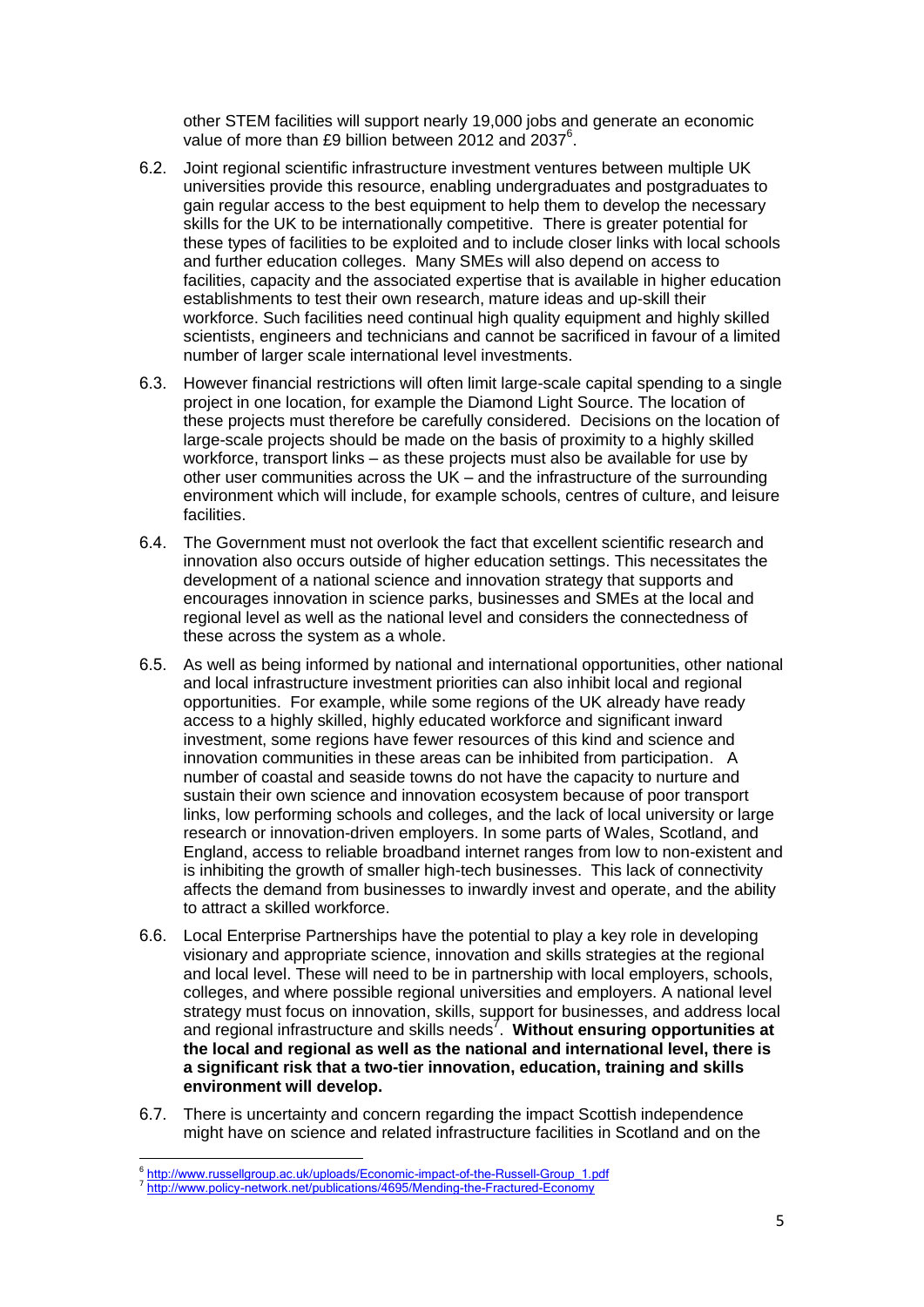other STEM facilities will support nearly 19,000 jobs and generate an economic value of more than £9 billion between 2012 and 2037<sup>6</sup>.

- 6.2. Joint regional scientific infrastructure investment ventures between multiple UK universities provide this resource, enabling undergraduates and postgraduates to gain regular access to the best equipment to help them to develop the necessary skills for the UK to be internationally competitive. There is greater potential for these types of facilities to be exploited and to include closer links with local schools and further education colleges. Many SMEs will also depend on access to facilities, capacity and the associated expertise that is available in higher education establishments to test their own research, mature ideas and up-skill their workforce. Such facilities need continual high quality equipment and highly skilled scientists, engineers and technicians and cannot be sacrificed in favour of a limited number of larger scale international level investments.
- 6.3. However financial restrictions will often limit large-scale capital spending to a single project in one location, for example the Diamond Light Source. The location of these projects must therefore be carefully considered. Decisions on the location of large-scale projects should be made on the basis of proximity to a highly skilled workforce, transport links – as these projects must also be available for use by other user communities across the UK – and the infrastructure of the surrounding environment which will include, for example schools, centres of culture, and leisure facilities.
- 6.4. The Government must not overlook the fact that excellent scientific research and innovation also occurs outside of higher education settings. This necessitates the development of a national science and innovation strategy that supports and encourages innovation in science parks, businesses and SMEs at the local and regional level as well as the national level and considers the connectedness of these across the system as a whole.
- 6.5. As well as being informed by national and international opportunities, other national and local infrastructure investment priorities can also inhibit local and regional opportunities. For example, while some regions of the UK already have ready access to a highly skilled, highly educated workforce and significant inward investment, some regions have fewer resources of this kind and science and innovation communities in these areas can be inhibited from participation. A number of coastal and seaside towns do not have the capacity to nurture and sustain their own science and innovation ecosystem because of poor transport links, low performing schools and colleges, and the lack of local university or large research or innovation-driven employers. In some parts of Wales, Scotland, and England, access to reliable broadband internet ranges from low to non-existent and is inhibiting the growth of smaller high-tech businesses. This lack of connectivity affects the demand from businesses to inwardly invest and operate, and the ability to attract a skilled workforce.
- 6.6. Local Enterprise Partnerships have the potential to play a key role in developing visionary and appropriate science, innovation and skills strategies at the regional and local level. These will need to be in partnership with local employers, schools, colleges, and where possible regional universities and employers. A national level strategy must focus on innovation, skills, support for businesses, and address local and regional infrastructure and skills needs<sup>7</sup>. Without ensuring opportunities at **the local and regional as well as the national and international level, there is a significant risk that a two-tier innovation, education, training and skills environment will develop.**
- 6.7. There is uncertainty and concern regarding the impact Scottish independence might have on science and related infrastructure facilities in Scotland and on the

e<br>Fittp://www.russellgroup.ac.uk/uploads/Economic-impact-of-the-Russell-Group\_1.pdf

<sup>&</sup>lt;sup>7</sup> <http://www.policy-network.net/publications/4695/Mending-the-Fractured-Economy>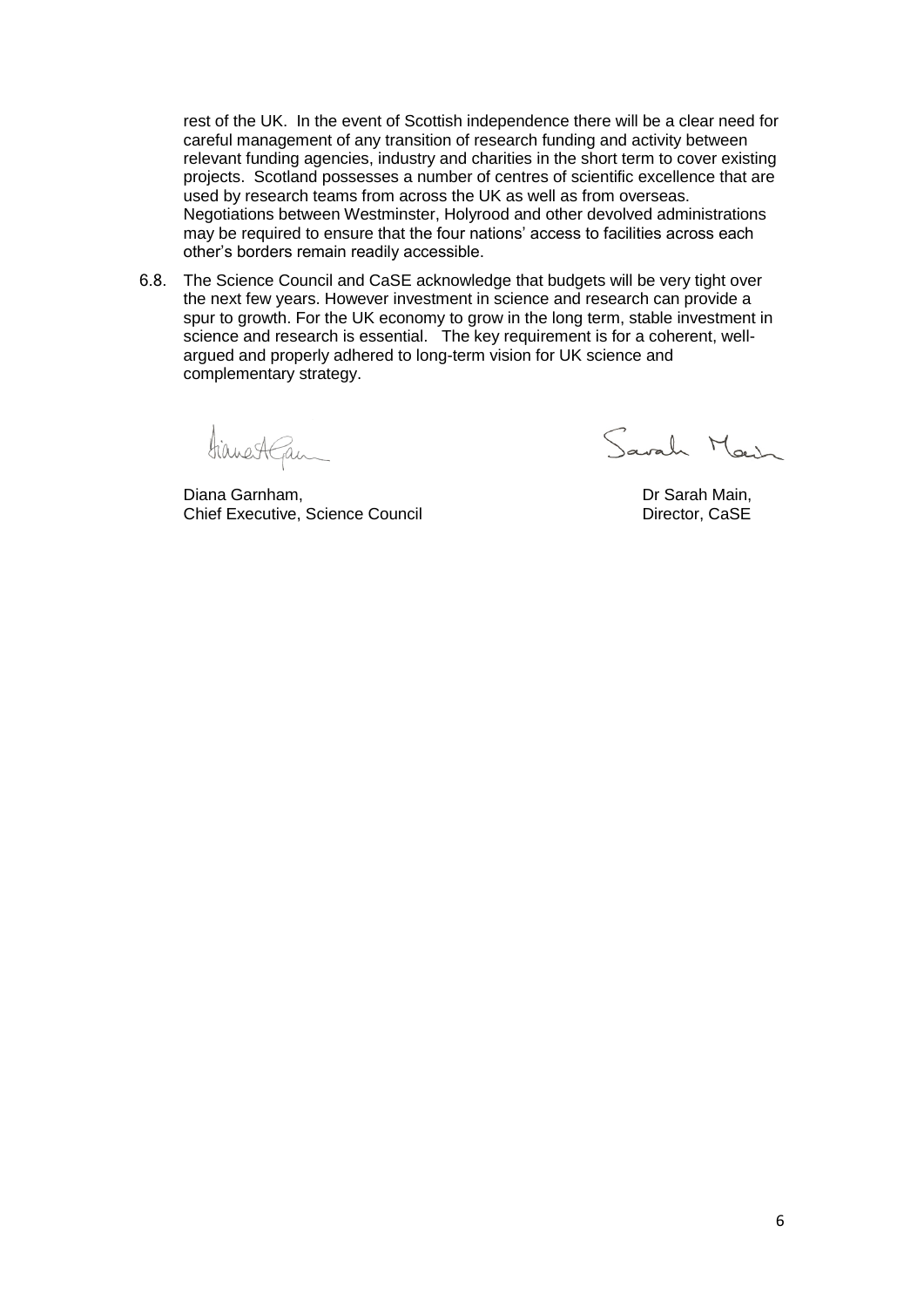rest of the UK. In the event of Scottish independence there will be a clear need for careful management of any transition of research funding and activity between relevant funding agencies, industry and charities in the short term to cover existing projects. Scotland possesses a number of centres of scientific excellence that are used by research teams from across the UK as well as from overseas. Negotiations between Westminster, Holyrood and other devolved administrations may be required to ensure that the four nations' access to facilities across each other's borders remain readily accessible.

6.8. The Science Council and CaSE acknowledge that budgets will be very tight over the next few years. However investment in science and research can provide a spur to growth. For the UK economy to grow in the long term, stable investment in science and research is essential. The key requirement is for a coherent, wellargued and properly adhered to long-term vision for UK science and complementary strategy.

Hianestgan

Diana Garnham, **Diana Garnham, 2006** Channel Channel Channel Channel Dr Sarah Main, Chief Executive, Science Council **Director**, CaSE

Savah Marsh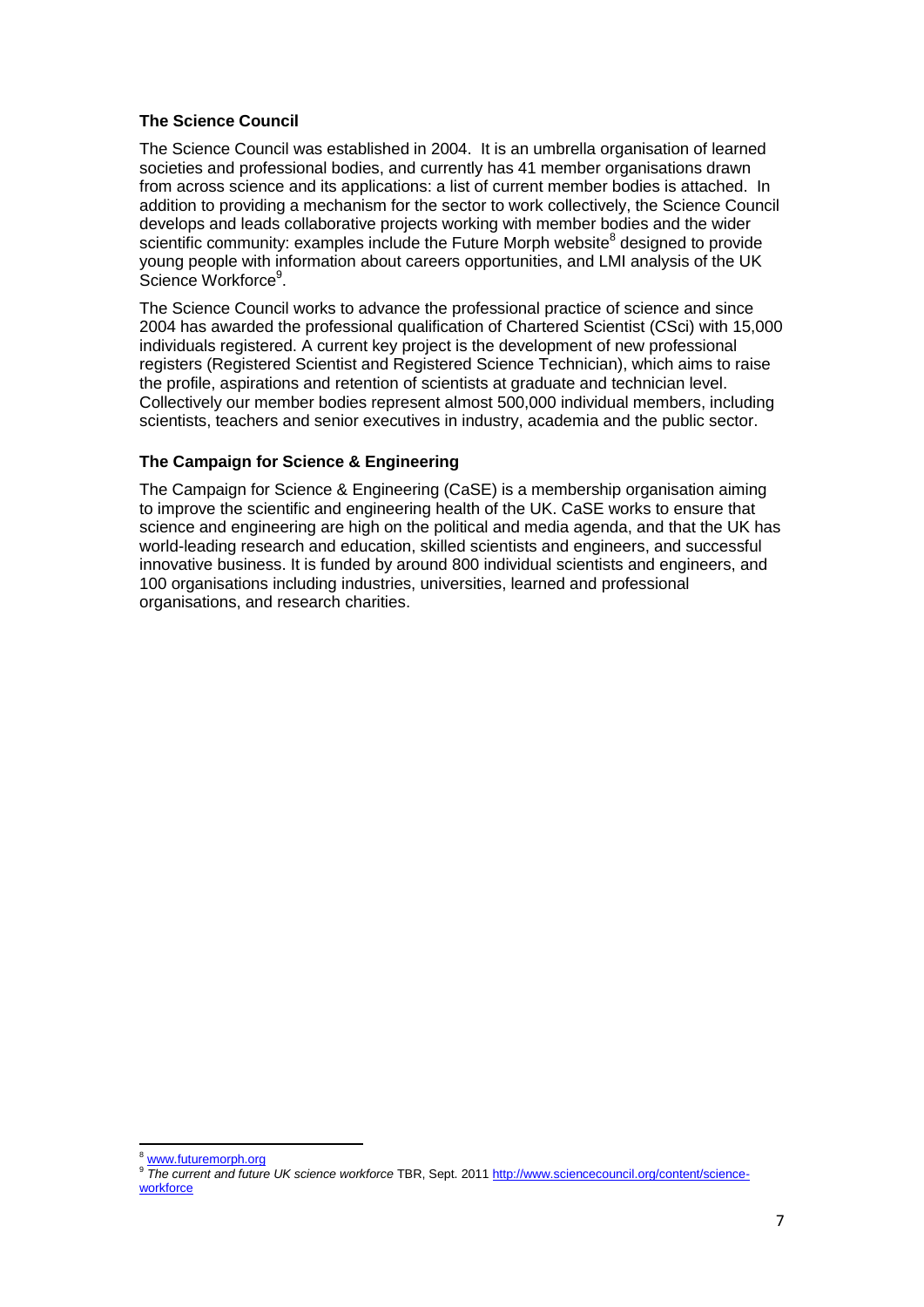# **The Science Council**

The Science Council was established in 2004. It is an umbrella organisation of learned societies and professional bodies, and currently has 41 member organisations drawn from across science and its applications: a list of current member bodies is attached. In addition to providing a mechanism for the sector to work collectively, the Science Council develops and leads collaborative projects working with member bodies and the wider scientific community: examples include the Future Morph website<sup>8</sup> designed to provide young people with information about careers opportunities, and LMI analysis of the UK Science Workforce<sup>9</sup>.

The Science Council works to advance the professional practice of science and since 2004 has awarded the professional qualification of Chartered Scientist (CSci) with 15,000 individuals registered. A current key project is the development of new professional registers (Registered Scientist and Registered Science Technician), which aims to raise the profile, aspirations and retention of scientists at graduate and technician level. Collectively our member bodies represent almost 500,000 individual members, including scientists, teachers and senior executives in industry, academia and the public sector.

# **The Campaign for Science & Engineering**

The Campaign for Science & Engineering (CaSE) is a membership organisation aiming to improve the scientific and engineering health of the UK. CaSE works to ensure that science and engineering are high on the political and media agenda, and that the UK has world-leading research and education, skilled scientists and engineers, and successful innovative business. It is funded by around 800 individual scientists and engineers, and 100 organisations including industries, universities, learned and professional organisations, and research charities.

 $\overline{a}$ <sup>8</sup> [www.futuremorph.org](http://www.futuremorph.org/)

<sup>9</sup> *The current and future UK science workforce* TBR, Sept. 201[1 http://www.sciencecouncil.org/content/science](http://www.sciencecouncil.org/content/science-workforce)[workforce](http://www.sciencecouncil.org/content/science-workforce)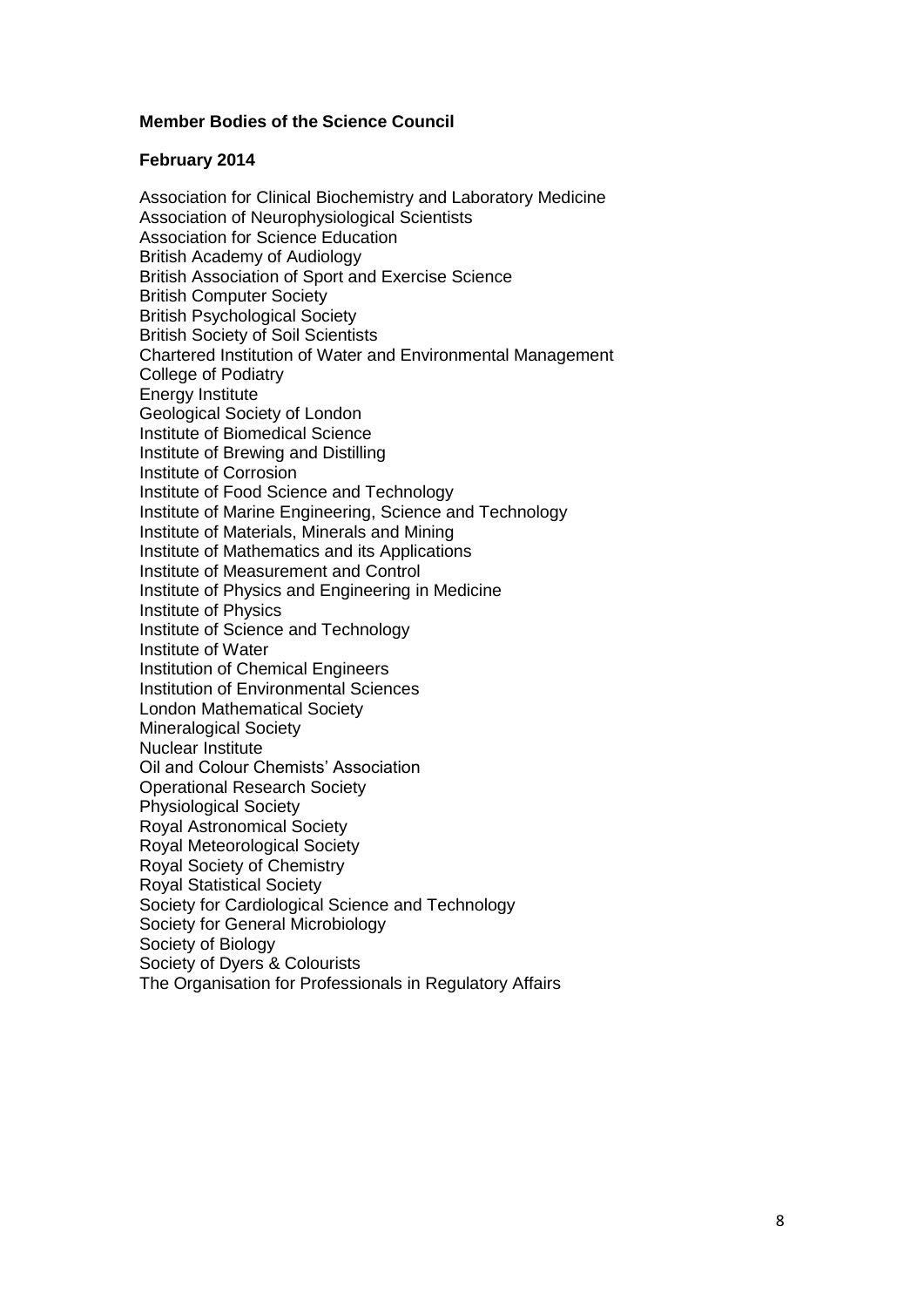# **Member Bodies of the Science Council**

### **February 2014**

Association for Clinical Biochemistry and Laboratory Medicine Association of Neurophysiological Scientists Association for Science Education British Academy of Audiology British Association of Sport and Exercise Science British Computer Society British Psychological Society British Society of Soil Scientists Chartered Institution of Water and Environmental Management College of Podiatry Energy Institute Geological Society of London Institute of Biomedical Science Institute of Brewing and Distilling Institute of Corrosion Institute of Food Science and Technology Institute of Marine Engineering, Science and Technology Institute of Materials, Minerals and Mining Institute of Mathematics and its Applications Institute of Measurement and Control Institute of Physics and Engineering in Medicine Institute of Physics Institute of Science and Technology Institute of Water Institution of Chemical Engineers Institution of Environmental Sciences London Mathematical Society Mineralogical Society Nuclear Institute Oil and Colour Chemists' Association Operational Research Society Physiological Society Royal Astronomical Society Royal Meteorological Society Royal Society of Chemistry Royal Statistical Society Society for Cardiological Science and Technology Society for General Microbiology Society of Biology Society of Dyers & Colourists The Organisation for Professionals in Regulatory Affairs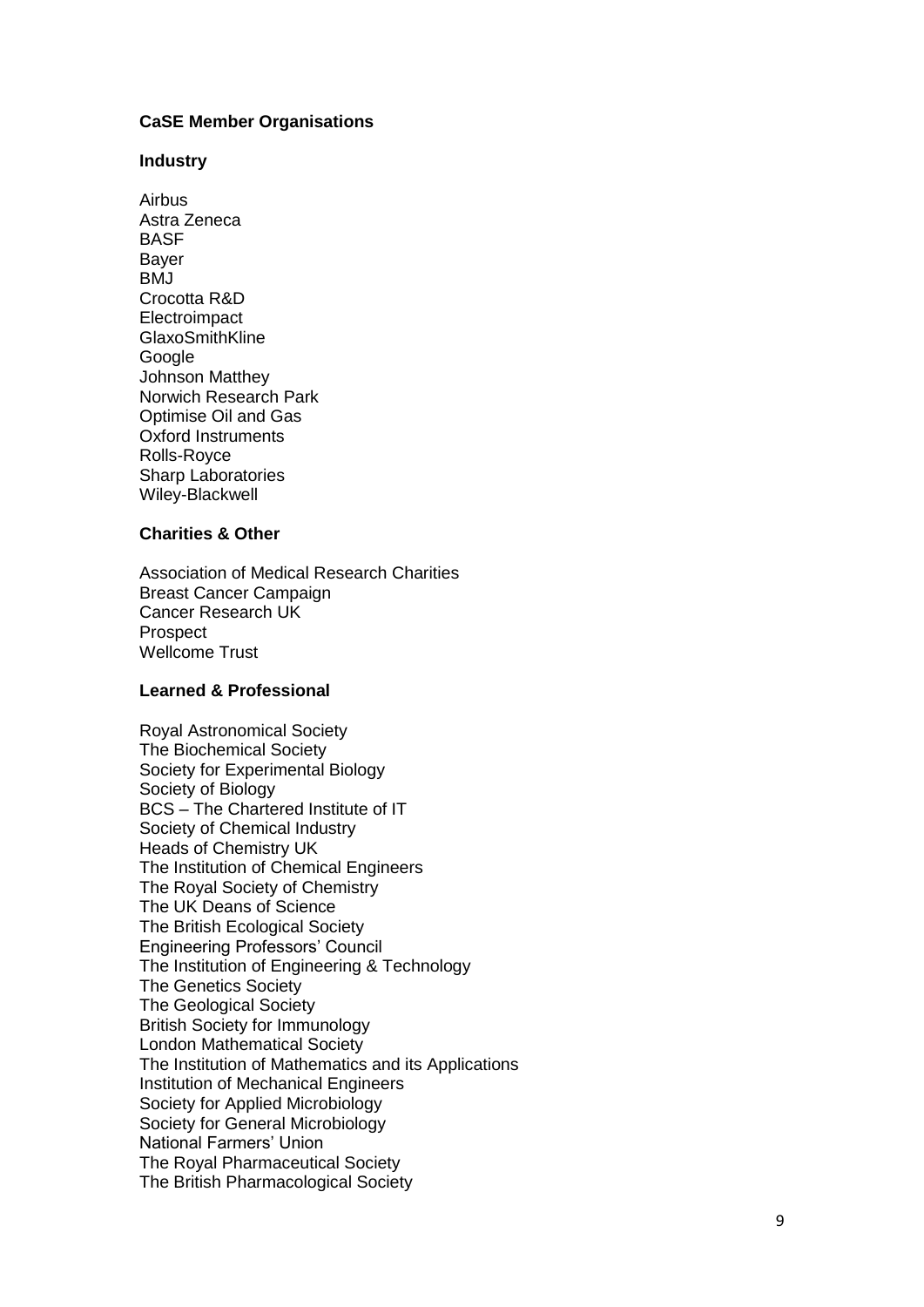# **CaSE Member Organisations**

#### **Industry**

Airbus Astra Zeneca BASF Bayer BMJ Crocotta R&D **Electroimpact** GlaxoSmithKline Google Johnson Matthey Norwich Research Park Optimise Oil and Gas Oxford Instruments Rolls -Royce Sharp Laboratories Wiley -Blackwell

#### **Charities & Other**

Association of Medical Research Charities Breast Cancer Campaign Cancer Research UK Prospect Wellcome Trust

# **Learned & Professional**

Royal Astronomical Society The Biochemical Society Society for Experimental Biology Society of Biology BCS – The Chartered Institute of IT Society of Chemical Industry Heads of Chemistry UK The Institution of Chemical Engineers The Royal Society of Chemistry The UK Deans of Science The British Ecological Society Engineering Professors' Council The Institution of Engineering & Technology The Genetics Society The Geological Society British Society for Immunology London Mathematical Society The Institution of Mathematics and its Applications Institution of Mechanical Engineers Society for Applied Microbiology Society for General Microbiology National Farmers' Union The Royal Pharmaceutical Society The British Pharmacological Society